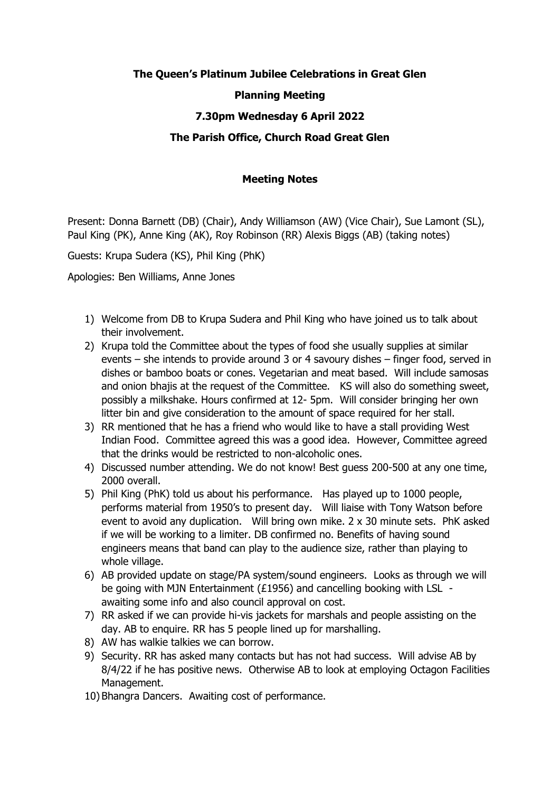# **The Queen's Platinum Jubilee Celebrations in Great Glen**

## **Planning Meeting**

# **7.30pm Wednesday 6 April 2022**

## **The Parish Office, Church Road Great Glen**

#### **Meeting Notes**

Present: Donna Barnett (DB) (Chair), Andy Williamson (AW) (Vice Chair), Sue Lamont (SL), Paul King (PK), Anne King (AK), Roy Robinson (RR) Alexis Biggs (AB) (taking notes)

Guests: Krupa Sudera (KS), Phil King (PhK)

Apologies: Ben Williams, Anne Jones

- 1) Welcome from DB to Krupa Sudera and Phil King who have joined us to talk about their involvement.
- 2) Krupa told the Committee about the types of food she usually supplies at similar events – she intends to provide around 3 or 4 savoury dishes – finger food, served in dishes or bamboo boats or cones. Vegetarian and meat based. Will include samosas and onion bhajis at the request of the Committee. KS will also do something sweet, possibly a milkshake. Hours confirmed at 12- 5pm. Will consider bringing her own litter bin and give consideration to the amount of space required for her stall.
- 3) RR mentioned that he has a friend who would like to have a stall providing West Indian Food. Committee agreed this was a good idea. However, Committee agreed that the drinks would be restricted to non-alcoholic ones.
- 4) Discussed number attending. We do not know! Best guess 200-500 at any one time, 2000 overall.
- 5) Phil King (PhK) told us about his performance. Has played up to 1000 people, performs material from 1950's to present day. Will liaise with Tony Watson before event to avoid any duplication. Will bring own mike. 2 x 30 minute sets. PhK asked if we will be working to a limiter. DB confirmed no. Benefits of having sound engineers means that band can play to the audience size, rather than playing to whole village.
- 6) AB provided update on stage/PA system/sound engineers. Looks as through we will be going with MJN Entertainment (£1956) and cancelling booking with LSL awaiting some info and also council approval on cost.
- 7) RR asked if we can provide hi-vis jackets for marshals and people assisting on the day. AB to enquire. RR has 5 people lined up for marshalling.
- 8) AW has walkie talkies we can borrow.
- 9) Security. RR has asked many contacts but has not had success. Will advise AB by 8/4/22 if he has positive news. Otherwise AB to look at employing Octagon Facilities Management.
- 10) Bhangra Dancers. Awaiting cost of performance.